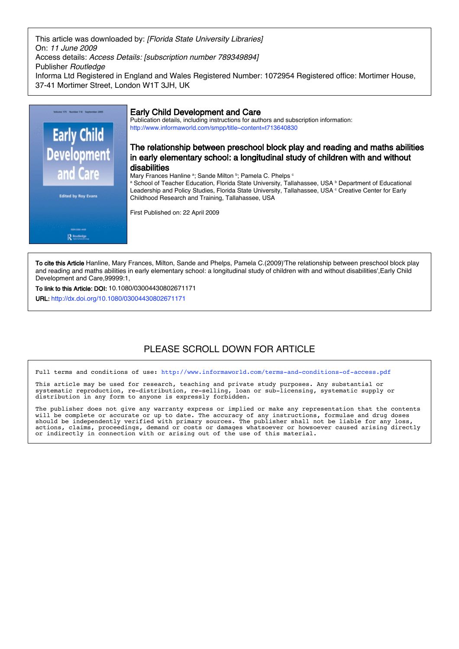This article was downloaded by: [Florida State University Libraries] On: 11 June 2009 Access details: Access Details: [subscription number 789349894] Publisher Routledge Informa Ltd Registered in England and Wales Registered Number: 1072954 Registered office: Mortimer House, 37-41 Mortimer Street, London W1T 3JH, UK



To cite this Article Hanline, Mary Frances, Milton, Sande and Phelps, Pamela C.(2009)'The relationship between preschool block play and reading and maths abilities in early elementary school: a longitudinal study of children with and without disabilities',Early Child Development and Care,99999:1,

To link to this Article: DOI: 10.1080/03004430802671171

URL:<http://dx.doi.org/10.1080/03004430802671171>

# PLEASE SCROLL DOWN FOR ARTICLE

Full terms and conditions of use:<http://www.informaworld.com/terms-and-conditions-of-access.pdf>

This article may be used for research, teaching and private study purposes. Any substantial or systematic reproduction, re-distribution, re-selling, loan or sub-licensing, systematic supply or distribution in any form to anyone is expressly forbidden.

The publisher does not give any warranty express or implied or make any representation that the contents will be complete or accurate or up to date. The accuracy of any instructions, formulae and drug doses should be independently verified with primary sources. The publisher shall not be liable for any loss, actions, claims, proceedings, demand or costs or damages whatsoever or howsoever caused arising directly or indirectly in connection with or arising out of the use of this material.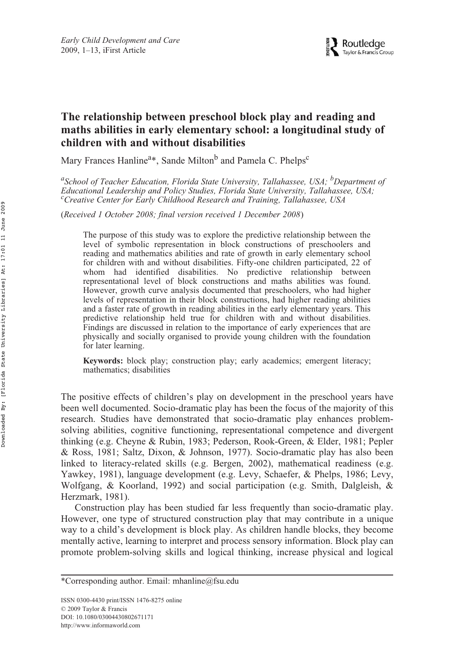## **The relationship between preschool block play and reading and maths abilities in early elementary school: a longitudinal study of children with and without disabilities**

Mary Frances Hanline<sup>a\*</sup>, Sande Milton<sup>b</sup> and Pamela C. Phelps<sup>c</sup>

<sup>a</sup>School of Teacher Education, Florida State University, Tallahassee, USA; <sup>b</sup>Department of *Educational Leadership and Policy Studies, Florida State University, Tallahassee, USA; c Creative Center for Early Childhood Research and Training, Tallahassee, USA*

(Received 1 October 2008; final version received 1 December 2008)

The purpose of this study was to explore the predictive relationship between the level of symbolic representation in block constructions of preschoolers and reading and mathematics abilities and rate of growth in early elementary school for children with and without disabilities. Fifty-one children participated, 22 of whom had identified disabilities. No predictive relationship between representational level of block constructions and maths abilities was found. However, growth curve analysis documented that preschoolers, who had higher levels of representation in their block constructions, had higher reading abilities and a faster rate of growth in reading abilities in the early elementary years. This predictive relationship held true for children with and without disabilities. Findings are discussed in relation to the importance of early experiences that are physically and socially organised to provide young children with the foundation for later learning.

**Keywords:** block play; construction play; early academics; emergent literacy; mathematics; disabilities

The positive effects of children's play on development in the preschool years have been well documented. Socio-dramatic play has been the focus of the majority of this research. Studies have demonstrated that socio-dramatic play enhances problemsolving abilities, cognitive functioning, representational competence and divergent thinking (e.g. Cheyne & Rubin, 1983; Pederson, Rook-Green, & Elder, 1981; Pepler & Ross, 1981; Saltz, Dixon, & Johnson, 1977). Socio-dramatic play has also been linked to literacy-related skills (e.g. Bergen, 2002), mathematical readiness (e.g. Yawkey, 1981), language development (e.g. Levy, Schaefer, & Phelps, 1986; Levy, Wolfgang, & Koorland, 1992) and social participation (e.g. Smith, Dalgleish, & Herzmark, 1981).

Construction play has been studied far less frequently than socio-dramatic play. However, one type of structured construction play that may contribute in a unique way to a child's development is block play. As children handle blocks, they become mentally active, learning to interpret and process sensory information. Block play can promote problem-solving skills and logical thinking, increase physical and logical

<sup>\*</sup>Corresponding author. Email: mhanline@fsu.edu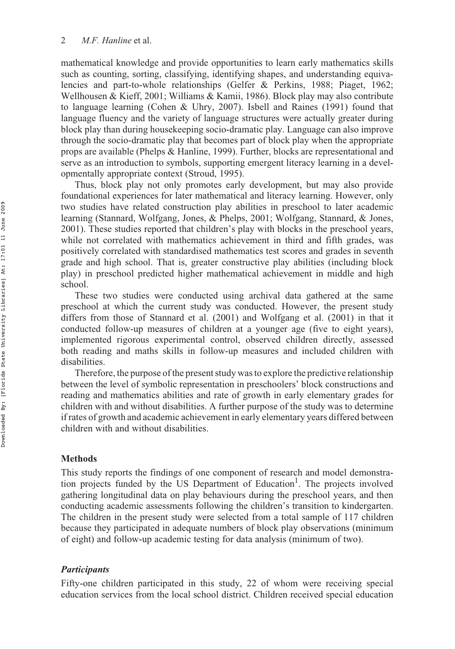mathematical knowledge and provide opportunities to learn early mathematics skills such as counting, sorting, classifying, identifying shapes, and understanding equivalencies and part-to-whole relationships (Gelfer & Perkins, 1988; Piaget, 1962; Wellhousen & Kieff, 2001; Williams & Kamii, 1986). Block play may also contribute to language learning (Cohen & Uhry, 2007). Isbell and Raines (1991) found that language fluency and the variety of language structures were actually greater during block play than during housekeeping socio-dramatic play. Language can also improve through the socio-dramatic play that becomes part of block play when the appropriate props are available (Phelps & Hanline, 1999). Further, blocks are representational and serve as an introduction to symbols, supporting emergent literacy learning in a developmentally appropriate context (Stroud, 1995).

Thus, block play not only promotes early development, but may also provide foundational experiences for later mathematical and literacy learning. However, only two studies have related construction play abilities in preschool to later academic learning (Stannard, Wolfgang, Jones, & Phelps, 2001; Wolfgang, Stannard, & Jones, 2001). These studies reported that children's play with blocks in the preschool years, while not correlated with mathematics achievement in third and fifth grades, was positively correlated with standardised mathematics test scores and grades in seventh grade and high school. That is, greater constructive play abilities (including block play) in preschool predicted higher mathematical achievement in middle and high school.

These two studies were conducted using archival data gathered at the same preschool at which the current study was conducted. However, the present study differs from those of Stannard et al. (2001) and Wolfgang et al. (2001) in that it conducted follow-up measures of children at a younger age (five to eight years), implemented rigorous experimental control, observed children directly, assessed both reading and maths skills in follow-up measures and included children with disabilities.

Therefore, the purpose of the present study was to explore the predictive relationship between the level of symbolic representation in preschoolers' block constructions and reading and mathematics abilities and rate of growth in early elementary grades for children with and without disabilities. A further purpose of the study was to determine if rates of growth and academic achievement in early elementary years differed between children with and without disabilities.

## **Methods**

This study reports the findings of one component of research and model demonstration projects funded by the US Department of Education<sup>1</sup>. The projects involved gathering longitudinal data on play behaviours during the preschool years, and then conducting academic assessments following the children's transition to kindergarten. The children in the present study were selected from a total sample of 117 children because they participated in adequate numbers of block play observations (minimum of eight) and follow-up academic testing for data analysis (minimum of two).

#### *Participants*

Fifty-one children participated in this study, 22 of whom were receiving special education services from the local school district. Children received special education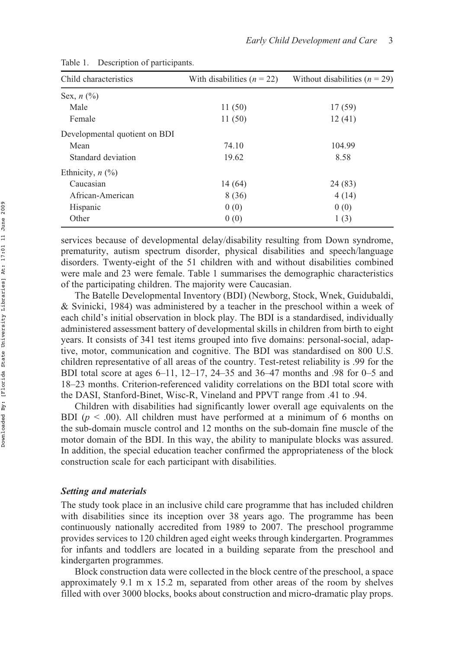| Child characteristics         | With disabilities $(n = 22)$ | Without disabilities $(n = 29)$ |  |
|-------------------------------|------------------------------|---------------------------------|--|
| Sex, $n$ (%)                  |                              |                                 |  |
| Male                          | 11(50)                       | 17(59)                          |  |
| Female                        | 11(50)                       | 12(41)                          |  |
| Developmental quotient on BDI |                              |                                 |  |
| Mean                          | 74.10                        | 104.99                          |  |
| Standard deviation            | 19.62                        | 8.58                            |  |
| Ethnicity, $n$ (%)            |                              |                                 |  |
| Caucasian                     | 14 (64)                      | 24 (83)                         |  |
| African-American              | 8 (36)                       | 4(14)                           |  |
| Hispanic                      | 0(0)                         | 0(0)                            |  |
| Other                         | 0(0)                         | 1(3)                            |  |

#### Table 1. Description of participants.

services because of developmental delay/disability resulting from Down syndrome, prematurity, autism spectrum disorder, physical disabilities and speech/language disorders. Twenty-eight of the 51 children with and without disabilities combined were male and 23 were female. Table 1 summarises the demographic characteristics of the participating children. The majority were Caucasian.

The Batelle Developmental Inventory (BDI) (Newborg, Stock, Wnek, Guidubaldi, & Svinicki, 1984) was administered by a teacher in the preschool within a week of each child's initial observation in block play. The BDI is a standardised, individually administered assessment battery of developmental skills in children from birth to eight years. It consists of 341 test items grouped into five domains: personal-social, adaptive, motor, communication and cognitive. The BDI was standardised on 800 U.S. children representative of all areas of the country. Test-retest reliability is .99 for the BDI total score at ages 6–11, 12–17, 24–35 and 36–47 months and .98 for 0–5 and 18–23 months. Criterion-referenced validity correlations on the BDI total score with the DASI, Stanford-Binet, Wisc-R, Vineland and PPVT range from .41 to .94.

Children with disabilities had significantly lower overall age equivalents on the BDI ( $p < .00$ ). All children must have performed at a minimum of 6 months on the sub-domain muscle control and 12 months on the sub-domain fine muscle of the motor domain of the BDI. In this way, the ability to manipulate blocks was assured. In addition, the special education teacher confirmed the appropriateness of the block construction scale for each participant with disabilities.

## *Setting and materials*

The study took place in an inclusive child care programme that has included children with disabilities since its inception over 38 years ago. The programme has been continuously nationally accredited from 1989 to 2007. The preschool programme provides services to 120 children aged eight weeks through kindergarten. Programmes for infants and toddlers are located in a building separate from the preschool and kindergarten programmes.

Block construction data were collected in the block centre of the preschool, a space approximately 9.1 m x 15.2 m, separated from other areas of the room by shelves filled with over 3000 blocks, books about construction and micro-dramatic play props.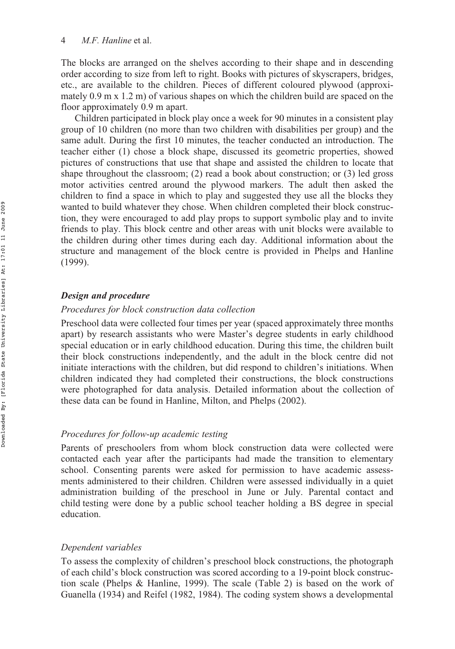The blocks are arranged on the shelves according to their shape and in descending order according to size from left to right. Books with pictures of skyscrapers, bridges, etc., are available to the children. Pieces of different coloured plywood (approximately  $0.9 \text{ m} \times 1.2 \text{ m}$  of various shapes on which the children build are spaced on the floor approximately 0.9 m apart.

Children participated in block play once a week for 90 minutes in a consistent play group of 10 children (no more than two children with disabilities per group) and the same adult. During the first 10 minutes, the teacher conducted an introduction. The teacher either (1) chose a block shape, discussed its geometric properties, showed pictures of constructions that use that shape and assisted the children to locate that shape throughout the classroom; (2) read a book about construction; or (3) led gross motor activities centred around the plywood markers. The adult then asked the children to find a space in which to play and suggested they use all the blocks they wanted to build whatever they chose. When children completed their block construction, they were encouraged to add play props to support symbolic play and to invite friends to play. This block centre and other areas with unit blocks were available to the children during other times during each day. Additional information about the structure and management of the block centre is provided in Phelps and Hanline (1999).

## *Design and procedure*

#### *Procedures for block construction data collection*

Preschool data were collected four times per year (spaced approximately three months apart) by research assistants who were Master's degree students in early childhood special education or in early childhood education. During this time, the children built their block constructions independently, and the adult in the block centre did not initiate interactions with the children, but did respond to children's initiations. When children indicated they had completed their constructions, the block constructions were photographed for data analysis. Detailed information about the collection of these data can be found in Hanline, Milton, and Phelps (2002).

### *Procedures for follow-up academic testing*

Parents of preschoolers from whom block construction data were collected were contacted each year after the participants had made the transition to elementary school. Consenting parents were asked for permission to have academic assessments administered to their children. Children were assessed individually in a quiet administration building of the preschool in June or July. Parental contact and child testing were done by a public school teacher holding a BS degree in special education.

### *Dependent variables*

To assess the complexity of children's preschool block constructions, the photograph of each child's block construction was scored according to a 19-point block construction scale (Phelps & Hanline, 1999). The scale (Table 2) is based on the work of Guanella (1934) and Reifel (1982, 1984). The coding system shows a developmental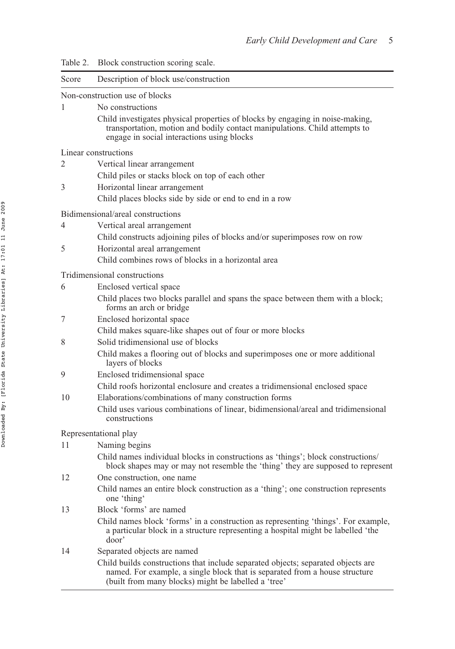| Score | Description of block use/construction                                                                                                                                                                                  |
|-------|------------------------------------------------------------------------------------------------------------------------------------------------------------------------------------------------------------------------|
|       | Non-construction use of blocks                                                                                                                                                                                         |
| 1     | No constructions                                                                                                                                                                                                       |
|       | Child investigates physical properties of blocks by engaging in noise-making,<br>transportation, motion and bodily contact manipulations. Child attempts to<br>engage in social interactions using blocks              |
|       | Linear constructions                                                                                                                                                                                                   |
| 2     | Vertical linear arrangement                                                                                                                                                                                            |
|       | Child piles or stacks block on top of each other                                                                                                                                                                       |
| 3     | Horizontal linear arrangement                                                                                                                                                                                          |
|       | Child places blocks side by side or end to end in a row                                                                                                                                                                |
|       | Bidimensional/areal constructions                                                                                                                                                                                      |
| 4     | Vertical areal arrangement                                                                                                                                                                                             |
|       | Child constructs adjoining piles of blocks and/or superimposes row on row                                                                                                                                              |
| 5     | Horizontal areal arrangement                                                                                                                                                                                           |
|       | Child combines rows of blocks in a horizontal area                                                                                                                                                                     |
|       | Tridimensional constructions                                                                                                                                                                                           |
| 6     | Enclosed vertical space                                                                                                                                                                                                |
|       | Child places two blocks parallel and spans the space between them with a block;<br>forms an arch or bridge                                                                                                             |
| 7     | Enclosed horizontal space                                                                                                                                                                                              |
|       | Child makes square-like shapes out of four or more blocks                                                                                                                                                              |
| 8     | Solid tridimensional use of blocks                                                                                                                                                                                     |
|       | Child makes a flooring out of blocks and superimposes one or more additional<br>layers of blocks                                                                                                                       |
| 9     | Enclosed tridimensional space                                                                                                                                                                                          |
|       | Child roofs horizontal enclosure and creates a tridimensional enclosed space                                                                                                                                           |
| 10    | Elaborations/combinations of many construction forms                                                                                                                                                                   |
|       | Child uses various combinations of linear, bidimensional/areal and tridimensional<br>constructions                                                                                                                     |
|       | Representational play                                                                                                                                                                                                  |
| 11    | Naming begins                                                                                                                                                                                                          |
|       | Child names individual blocks in constructions as 'things'; block constructions/<br>block shapes may or may not resemble the 'thing' they are supposed to represent                                                    |
| 12    | One construction, one name                                                                                                                                                                                             |
|       | Child names an entire block construction as a 'thing'; one construction represents<br>one 'thing'                                                                                                                      |
| 13    | Block 'forms' are named                                                                                                                                                                                                |
|       | Child names block 'forms' in a construction as representing 'things'. For example,<br>a particular block in a structure representing a hospital might be labelled 'the<br>door'                                        |
| 14    | Separated objects are named                                                                                                                                                                                            |
|       | Child builds constructions that include separated objects; separated objects are<br>named. For example, a single block that is separated from a house structure<br>(built from many blocks) might be labelled a 'tree' |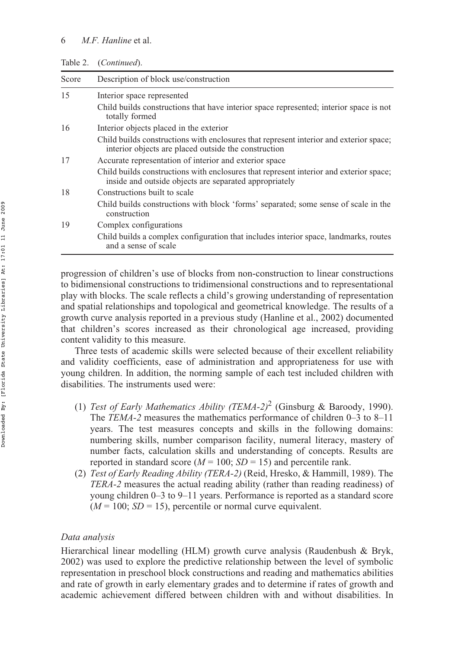## 6 *M.F. Hanline* et al.

Table 2. (*Continued*).

| Score | Description of block use/construction                                                                                                            |  |  |
|-------|--------------------------------------------------------------------------------------------------------------------------------------------------|--|--|
| 15    | Interior space represented                                                                                                                       |  |  |
|       | Child builds constructions that have interior space represented; interior space is not<br>totally formed                                         |  |  |
| 16    | Interior objects placed in the exterior                                                                                                          |  |  |
|       | Child builds constructions with enclosures that represent interior and exterior space;<br>interior objects are placed outside the construction   |  |  |
| 17    | Accurate representation of interior and exterior space                                                                                           |  |  |
|       | Child builds constructions with enclosures that represent interior and exterior space;<br>inside and outside objects are separated appropriately |  |  |
| 18    | Constructions built to scale                                                                                                                     |  |  |
|       | Child builds constructions with block 'forms' separated; some sense of scale in the<br>construction                                              |  |  |
| 19    | Complex configurations                                                                                                                           |  |  |
|       | Child builds a complex configuration that includes interior space, landmarks, routes<br>and a sense of scale                                     |  |  |

progression of children's use of blocks from non-construction to linear constructions to bidimensional constructions to tridimensional constructions and to representational play with blocks. The scale reflects a child's growing understanding of representation and spatial relationships and topological and geometrical knowledge. The results of a growth curve analysis reported in a previous study (Hanline et al., 2002) documented that children's scores increased as their chronological age increased, providing content validity to this measure.

Three tests of academic skills were selected because of their excellent reliability and validity coefficients, ease of administration and appropriateness for use with young children. In addition, the norming sample of each test included children with disabilities. The instruments used were:

- (1) *Test of Early Mathematics Ability (TEMA-2)*<sup>2</sup> (Ginsburg & Baroody, 1990). The *TEMA-2* measures the mathematics performance of children 0–3 to 8–11 years. The test measures concepts and skills in the following domains: numbering skills, number comparison facility, numeral literacy, mastery of number facts, calculation skills and understanding of concepts. Results are reported in standard score ( $M = 100$ ;  $SD = 15$ ) and percentile rank.
- (2) *Test of Early Reading Ability (TERA-2)* (Reid, Hresko, & Hammill, 1989). The *TERA-2* measures the actual reading ability (rather than reading readiness) of young children 0–3 to 9–11 years. Performance is reported as a standard score  $(M = 100; SD = 15)$ , percentile or normal curve equivalent.

### *Data analysis*

Hierarchical linear modelling (HLM) growth curve analysis (Raudenbush & Bryk, 2002) was used to explore the predictive relationship between the level of symbolic representation in preschool block constructions and reading and mathematics abilities and rate of growth in early elementary grades and to determine if rates of growth and academic achievement differed between children with and without disabilities. In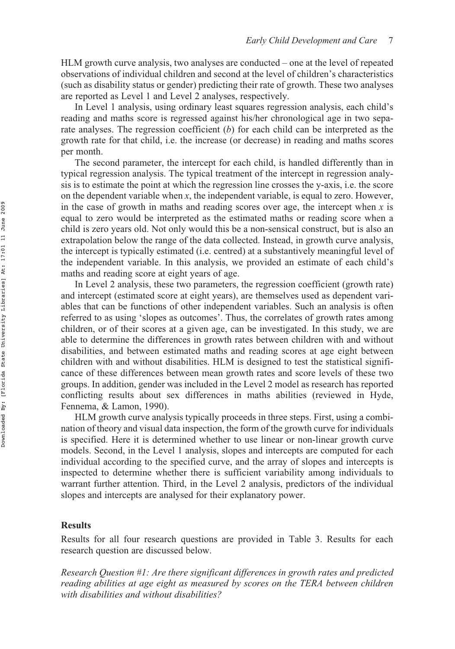HLM growth curve analysis, two analyses are conducted – one at the level of repeated observations of individual children and second at the level of children's characteristics (such as disability status or gender) predicting their rate of growth. These two analyses are reported as Level 1 and Level 2 analyses, respectively.

In Level 1 analysis, using ordinary least squares regression analysis, each child's reading and maths score is regressed against his/her chronological age in two separate analyses. The regression coefficient (*b*) for each child can be interpreted as the growth rate for that child, i.e. the increase (or decrease) in reading and maths scores per month.

The second parameter, the intercept for each child, is handled differently than in typical regression analysis. The typical treatment of the intercept in regression analysis is to estimate the point at which the regression line crosses the y-axis, i.e. the score on the dependent variable when *x*, the independent variable, is equal to zero. However, in the case of growth in maths and reading scores over age, the intercept when *x* is equal to zero would be interpreted as the estimated maths or reading score when a child is zero years old. Not only would this be a non-sensical construct, but is also an extrapolation below the range of the data collected. Instead, in growth curve analysis, the intercept is typically estimated (i.e. centred) at a substantively meaningful level of the independent variable. In this analysis, we provided an estimate of each child's maths and reading score at eight years of age.

In Level 2 analysis, these two parameters, the regression coefficient (growth rate) and intercept (estimated score at eight years), are themselves used as dependent variables that can be functions of other independent variables. Such an analysis is often referred to as using 'slopes as outcomes'. Thus, the correlates of growth rates among children, or of their scores at a given age, can be investigated. In this study, we are able to determine the differences in growth rates between children with and without disabilities, and between estimated maths and reading scores at age eight between children with and without disabilities. HLM is designed to test the statistical significance of these differences between mean growth rates and score levels of these two groups. In addition, gender was included in the Level 2 model as research has reported conflicting results about sex differences in maths abilities (reviewed in Hyde, Fennema, & Lamon, 1990).

HLM growth curve analysis typically proceeds in three steps. First, using a combination of theory and visual data inspection, the form of the growth curve for individuals is specified. Here it is determined whether to use linear or non-linear growth curve models. Second, in the Level 1 analysis, slopes and intercepts are computed for each individual according to the specified curve, and the array of slopes and intercepts is inspected to determine whether there is sufficient variability among individuals to warrant further attention. Third, in the Level 2 analysis, predictors of the individual slopes and intercepts are analysed for their explanatory power.

### **Results**

Results for all four research questions are provided in Table 3. Results for each research question are discussed below.

*Research Question #1: Are there significant differences in growth rates and predicted reading abilities at age eight as measured by scores on the TERA between children with disabilities and without disabilities?*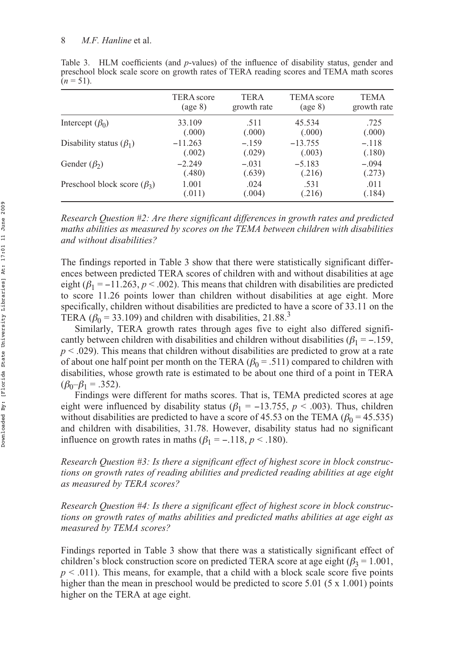|                                   | <b>TERA</b> score | <b>TERA</b> | <b>TEMA</b> score | <b>TEMA</b> |
|-----------------------------------|-------------------|-------------|-------------------|-------------|
|                                   | (age 8)           | growth rate | $(\text{age } 8)$ | growth rate |
| Intercept $(\beta_0)$             | 33.109            | .511        | 45.534            | .725        |
|                                   | (.000)            | (.000)      | (.000)            | (.000)      |
| Disability status $(\beta_1)$     | $-11.263$         | $-.159$     | $-13.755$         | $-.118$     |
|                                   | (.002)            | (.029)      | (.003)            | (.180)      |
| Gender $(\beta_2)$                | $-2.249$          | $-.031$     | $-5.183$          | $-.094$     |
|                                   | (.480)            | (.639)      | (.216)            | (.273)      |
| Preschool block score $(\beta_3)$ | 1.001             | .024        | .531              | .011        |
|                                   | (.011)            | (.004)      | (.216)            | (.184)      |

Table 3. HLM coefficients (and *p*-values) of the influence of disability status, gender and preschool block scale score on growth rates of TERA reading scores and TEMA math scores  $(n = 51)$ .

*Research Question #2: Are there significant differences in growth rates and predicted maths abilities as measured by scores on the TEMA between children with disabilities and without disabilities?*

The findings reported in Table 3 show that there were statistically significant differences between predicted TERA scores of children with and without disabilities at age eight ( $\beta_1$  = -11.263, *p* < .002). This means that children with disabilities are predicted to score 11.26 points lower than children without disabilities at age eight. More specifically, children without disabilities are predicted to have a score of 33.11 on the TERA ( $\beta_0$  = 33.109) and children with disabilities, 21.88.<sup>3</sup>

Similarly, TERA growth rates through ages five to eight also differed significantly between children with disabilities and children without disabilities ( $\beta_1 = -.159$ ,  $p < .029$ ). This means that children without disabilities are predicted to grow at a rate of about one half point per month on the TERA ( $\beta_0$  = .511) compared to children with disabilities, whose growth rate is estimated to be about one third of a point in TERA  $(\beta_0 - \beta_1 = .352)$ .

Findings were different for maths scores. That is, TEMA predicted scores at age eight were influenced by disability status ( $\beta_1 = -13.755$ ,  $p < .003$ ). Thus, children without disabilities are predicted to have a score of 45.53 on the TEMA ( $\beta_0$  = 45.535) and children with disabilities, 31.78. However, disability status had no significant influence on growth rates in maths  $(\beta_1 = -.118, p < .180)$ .

*Research Question #3: Is there a significant effect of highest score in block constructions on growth rates of reading abilities and predicted reading abilities at age eight as measured by TERA scores?*

*Research Question #4: Is there a significant effect of highest score in block constructions on growth rates of maths abilities and predicted maths abilities at age eight as measured by TEMA scores?*

Findings reported in Table 3 show that there was a statistically significant effect of children's block construction score on predicted TERA score at age eight ( $\beta_3 = 1.001$ ,  $p \leq 0.011$ ). This means, for example, that a child with a block scale score five points higher than the mean in preschool would be predicted to score 5.01 (5 x 1.001) points higher on the TERA at age eight.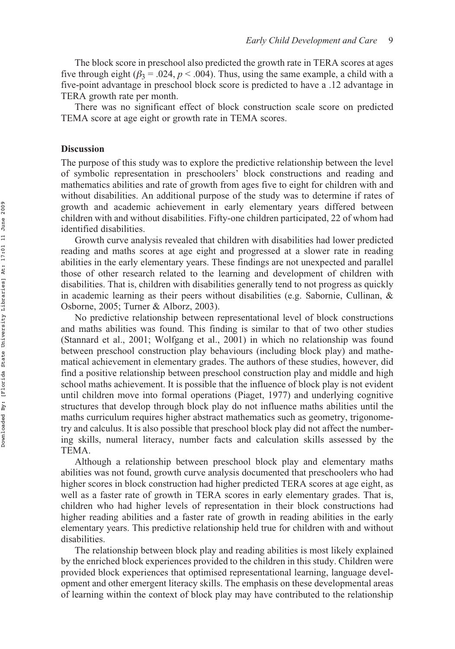The block score in preschool also predicted the growth rate in TERA scores at ages five through eight ( $\beta_3$  = .024,  $p$  < .004). Thus, using the same example, a child with a five-point advantage in preschool block score is predicted to have a .12 advantage in TERA growth rate per month.

There was no significant effect of block construction scale score on predicted TEMA score at age eight or growth rate in TEMA scores.

#### **Discussion**

The purpose of this study was to explore the predictive relationship between the level of symbolic representation in preschoolers' block constructions and reading and mathematics abilities and rate of growth from ages five to eight for children with and without disabilities. An additional purpose of the study was to determine if rates of growth and academic achievement in early elementary years differed between children with and without disabilities. Fifty-one children participated, 22 of whom had identified disabilities.

Growth curve analysis revealed that children with disabilities had lower predicted reading and maths scores at age eight and progressed at a slower rate in reading abilities in the early elementary years. These findings are not unexpected and parallel those of other research related to the learning and development of children with disabilities. That is, children with disabilities generally tend to not progress as quickly in academic learning as their peers without disabilities (e.g. Sabornie, Cullinan, & Osborne, 2005; Turner & Alborz, 2003).

No predictive relationship between representational level of block constructions and maths abilities was found. This finding is similar to that of two other studies (Stannard et al., 2001; Wolfgang et al., 2001) in which no relationship was found between preschool construction play behaviours (including block play) and mathematical achievement in elementary grades. The authors of these studies, however, did find a positive relationship between preschool construction play and middle and high school maths achievement. It is possible that the influence of block play is not evident until children move into formal operations (Piaget, 1977) and underlying cognitive structures that develop through block play do not influence maths abilities until the maths curriculum requires higher abstract mathematics such as geometry, trigonometry and calculus. It is also possible that preschool block play did not affect the numbering skills, numeral literacy, number facts and calculation skills assessed by the TEMA.

Although a relationship between preschool block play and elementary maths abilities was not found, growth curve analysis documented that preschoolers who had higher scores in block construction had higher predicted TERA scores at age eight, as well as a faster rate of growth in TERA scores in early elementary grades. That is, children who had higher levels of representation in their block constructions had higher reading abilities and a faster rate of growth in reading abilities in the early elementary years. This predictive relationship held true for children with and without disabilities.

The relationship between block play and reading abilities is most likely explained by the enriched block experiences provided to the children in this study. Children were provided block experiences that optimised representational learning, language development and other emergent literacy skills. The emphasis on these developmental areas of learning within the context of block play may have contributed to the relationship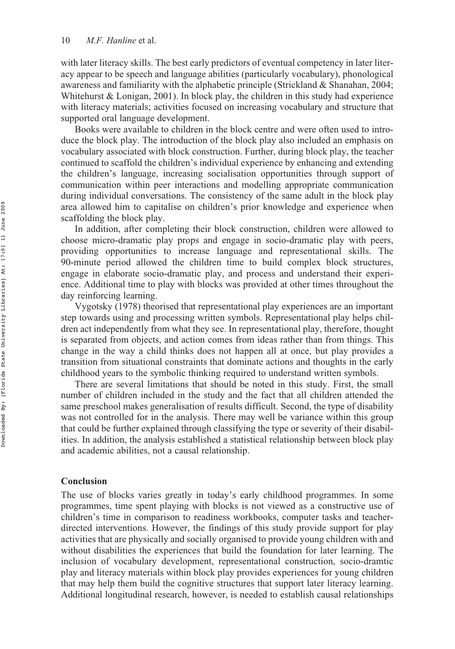with later literacy skills. The best early predictors of eventual competency in later literacy appear to be speech and language abilities (particularly vocabulary), phonological awareness and familiarity with the alphabetic principle (Strickland & Shanahan, 2004; Whitehurst  $\&$  Lonigan, 2001). In block play, the children in this study had experience with literacy materials; activities focused on increasing vocabulary and structure that supported oral language development.

Books were available to children in the block centre and were often used to introduce the block play. The introduction of the block play also included an emphasis on vocabulary associated with block construction. Further, during block play, the teacher continued to scaffold the children's individual experience by enhancing and extending the children's language, increasing socialisation opportunities through support of communication within peer interactions and modelling appropriate communication during individual conversations. The consistency of the same adult in the block play area allowed him to capitalise on children's prior knowledge and experience when scaffolding the block play.

In addition, after completing their block construction, children were allowed to choose micro-dramatic play props and engage in socio-dramatic play with peers, providing opportunities to increase language and representational skills. The 90-minute period allowed the children time to build complex block structures, engage in elaborate socio-dramatic play, and process and understand their experience. Additional time to play with blocks was provided at other times throughout the day reinforcing learning.

Vygotsky (1978) theorised that representational play experiences are an important step towards using and processing written symbols. Representational play helps children act independently from what they see. In representational play, therefore, thought is separated from objects, and action comes from ideas rather than from things. This change in the way a child thinks does not happen all at once, but play provides a transition from situational constraints that dominate actions and thoughts in the early childhood years to the symbolic thinking required to understand written symbols.

There are several limitations that should be noted in this study. First, the small number of children included in the study and the fact that all children attended the same preschool makes generalisation of results difficult. Second, the type of disability was not controlled for in the analysis. There may well be variance within this group that could be further explained through classifying the type or severity of their disabilities. In addition, the analysis established a statistical relationship between block play and academic abilities, not a causal relationship.

#### **Conclusion**

The use of blocks varies greatly in today's early childhood programmes. In some programmes, time spent playing with blocks is not viewed as a constructive use of children's time in comparison to readiness workbooks, computer tasks and teacherdirected interventions. However, the findings of this study provide support for play activities that are physically and socially organised to provide young children with and without disabilities the experiences that build the foundation for later learning. The inclusion of vocabulary development, representational construction, socio-dramtic play and literacy materials within block play provides experiences for young children that may help them build the cognitive structures that support later literacy learning. Additional longitudinal research, however, is needed to establish causal relationships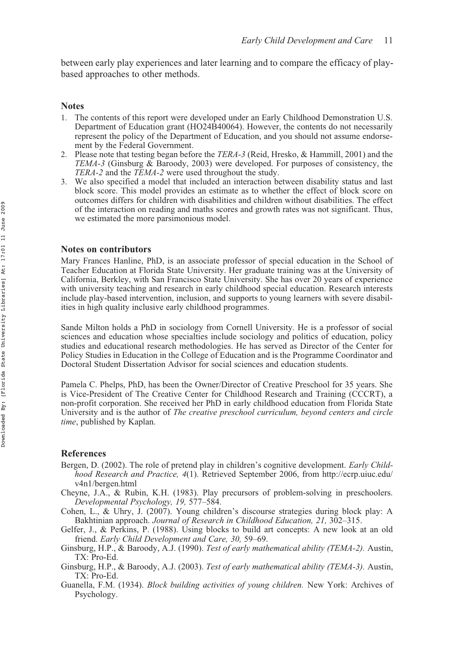between early play experiences and later learning and to compare the efficacy of playbased approaches to other methods.

#### **Notes**

- 1. The contents of this report were developed under an Early Childhood Demonstration U.S. Department of Education grant (HO24B40064). However, the contents do not necessarily represent the policy of the Department of Education, and you should not assume endorsement by the Federal Government.
- 2. Please note that testing began before the *TERA-3* (Reid, Hresko, & Hammill, 2001) and the *TEMA-3* (Ginsburg & Baroody, 2003) were developed. For purposes of consistency, the *TERA-2* and the *TEMA-2* were used throughout the study.
- 3. We also specified a model that included an interaction between disability status and last block score. This model provides an estimate as to whether the effect of block score on outcomes differs for children with disabilities and children without disabilities. The effect of the interaction on reading and maths scores and growth rates was not significant. Thus, we estimated the more parsimonious model.

#### **Notes on contributors**

Mary Frances Hanline, PhD, is an associate professor of special education in the School of Teacher Education at Florida State University. Her graduate training was at the University of California, Berkley, with San Francisco State University. She has over 20 years of experience with university teaching and research in early childhood special education. Research interests include play-based intervention, inclusion, and supports to young learners with severe disabilities in high quality inclusive early childhood programmes.

Sande Milton holds a PhD in sociology from Cornell University. He is a professor of social sciences and education whose specialties include sociology and politics of education, policy studies and educational research methodologies. He has served as Director of the Center for Policy Studies in Education in the College of Education and is the Programme Coordinator and Doctoral Student Dissertation Advisor for social sciences and education students.

Pamela C. Phelps, PhD, has been the Owner/Director of Creative Preschool for 35 years. She is Vice-President of The Creative Center for Childhood Research and Training (CCCRT), a non-profit corporation. She received her PhD in early childhood education from Florida State University and is the author of *The creative preschool curriculum, beyond centers and circle time*, published by Kaplan.

#### **References**

- Bergen, D. (2002). The role of pretend play in children's cognitive development. *Early Childhood Research and Practice, 4*(1). Retrieved September 2006, from http://ecrp.uiuc.edu/ v4n1/bergen.html
- Cheyne, J.A., & Rubin, K.H. (1983). Play precursors of problem-solving in preschoolers. *Developmental Psychology, 19,* 577–584.
- Cohen, L., & Uhry, J. (2007). Young children's discourse strategies during block play: A Bakhtinian approach. *Journal of Research in Childhood Education, 21,* 302–315.
- Gelfer, J., & Perkins, P. (1988). Using blocks to build art concepts: A new look at an old friend. *Early Child Development and Care, 30,* 59–69.
- Ginsburg, H.P., & Baroody, A.J. (1990). *Test of early mathematical ability (TEMA-2).* Austin, TX: Pro-Ed.
- Ginsburg, H.P., & Baroody, A.J. (2003). *Test of early mathematical ability (TEMA-3).* Austin, TX: Pro-Ed.
- Guanella, F.M. (1934). *Block building activities of young children.* New York: Archives of Psychology.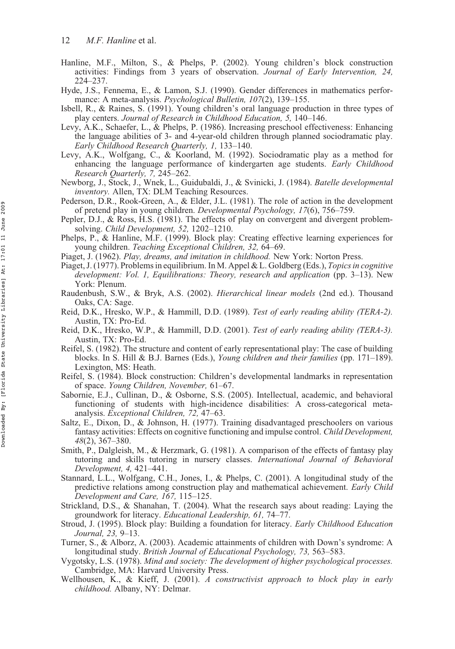- Hanline, M.F., Milton, S., & Phelps, P. (2002). Young children's block construction activities: Findings from 3 years of observation. *Journal of Early Intervention, 24,* 224–237.
- Hyde, J.S., Fennema, E., & Lamon, S.J. (1990). Gender differences in mathematics performance: A meta-analysis. *Psychological Bulletin, 107*(2), 139–155.
- Isbell, R., & Raines, S. (1991). Young children's oral language production in three types of play centers. *Journal of Research in Childhood Education, 5,* 140–146.
- Levy, A.K., Schaefer, L., & Phelps, P. (1986). Increasing preschool effectiveness: Enhancing the language abilities of 3- and 4-year-old children through planned sociodramatic play. *Early Childhood Research Quarterly, 1,* 133–140.
- Levy, A.K., Wolfgang, C., & Koorland, M. (1992). Sociodramatic play as a method for enhancing the language performance of kindergarten age students. *Early Childhood Research Quarterly, 7,* 245–262.
- Newborg, J., Stock, J., Wnek, L., Guidubaldi, J., & Svinicki, J. (1984). *Batelle developmental inventory.* Allen, TX: DLM Teaching Resources.
- Pederson, D.R., Rook-Green, A., & Elder, J.L. (1981). The role of action in the development of pretend play in young children. *Developmental Psychology, 17*(6), 756–759.
- Pepler, D.J., & Ross, H.S. (1981). The effects of play on convergent and divergent problemsolving. *Child Development, 52,* 1202–1210.
- Phelps, P., & Hanline, M.F. (1999). Block play: Creating effective learning experiences for young children. *Teaching Exceptional Children, 32,* 64–69.
- Piaget, J. (1962). *Play, dreams, and imitation in childhood.* New York: Norton Press.
- Piaget, J. (1977). Problems in equilibrium. In M. Appel & L. Goldberg (Eds.), *Topics in cognitive development: Vol. 1, Equilibrations: Theory, research and application* (pp. 3–13). New York: Plenum.
- Raudenbush, S.W., & Bryk, A.S. (2002). *Hierarchical linear models* (2nd ed.). Thousand Oaks, CA: Sage.
- Reid, D.K., Hresko, W.P., & Hammill, D.D. (1989). *Test of early reading ability (TERA-2).* Austin, TX: Pro-Ed.
- Reid, D.K., Hresko, W.P., & Hammill, D.D. (2001). *Test of early reading ability (TERA-3).* Austin, TX: Pro-Ed.
- Reifel, S. (1982). The structure and content of early representational play: The case of building blocks. In S. Hill & B.J. Barnes (Eds.), *Young children and their families* (pp. 171–189). Lexington, MS: Heath.
- Reifel, S. (1984). Block construction: Children's developmental landmarks in representation of space. *Young Children, November,* 61–67.
- Sabornie, E.J., Cullinan, D., & Osborne, S.S. (2005). Intellectual, academic, and behavioral functioning of students with high-incidence disabilities: A cross-categorical metaanalysis. *Exceptional Children, 72,* 47–63.
- Saltz, E., Dixon, D., & Johnson, H. (1977). Training disadvantaged preschoolers on various fantasy activities: Effects on cognitive functioning and impulse control. *Child Development, 48*(2), 367–380.
- Smith, P., Dalgleish, M., & Herzmark, G. (1981). A comparison of the effects of fantasy play tutoring and skills tutoring in nursery classes. *International Journal of Behavioral Development, 4,* 421–441.
- Stannard, L.L., Wolfgang, C.H., Jones, I., & Phelps, C. (2001). A longitudinal study of the predictive relations among construction play and mathematical achievement. *Early Child Development and Care, 167,* 115–125.
- Strickland, D.S., & Shanahan, T. (2004). What the research says about reading: Laying the groundwork for literacy. *Educational Leadership, 61,* 74–77.
- Stroud, J. (1995). Block play: Building a foundation for literacy. *Early Childhood Education Journal, 23,* 9–13.
- Turner, S., & Alborz, A. (2003). Academic attainments of children with Down's syndrome: A longitudinal study. *British Journal of Educational Psychology, 73,* 563–583.
- Vygotsky, L.S. (1978). *Mind and society: The development of higher psychological processes.* Cambridge, MA: Harvard University Press.
- Wellhousen, K., & Kieff, J. (2001). *A constructivist approach to block play in early childhood.* Albany, NY: Delmar.